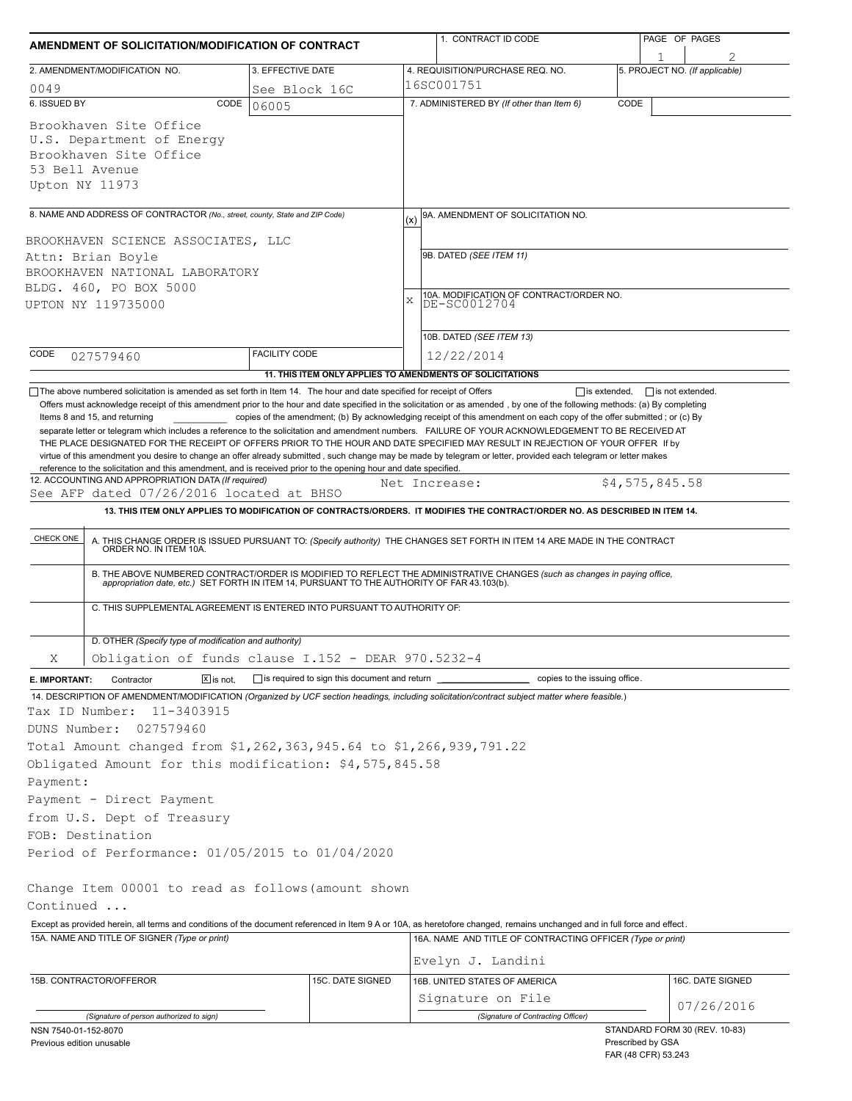| 5. PROJECT NO. (If applicable)<br>4. REQUISITION/PURCHASE REQ. NO.<br>16SC001751<br>7. ADMINISTERED BY (If other than Item 6)<br>CODE<br>9A. AMENDMENT OF SOLICITATION NO.<br>(x)<br>9B. DATED (SEE ITEM 11)<br>10A. MODIFICATION OF CONTRACT/ORDER NO.<br>DE-SC0012704<br>$\bar{X}$<br>10B. DATED (SEE ITEM 13)<br>12/22/2014<br>11. THIS ITEM ONLY APPLIES TO AMENDMENTS OF SOLICITATIONS<br>The above numbered solicitation is amended as set forth in Item 14. The hour and date specified for receipt of Offers<br>$\Box$ is extended.<br>$\Box$ is not extended.<br>Offers must acknowledge receipt of this amendment prior to the hour and date specified in the solicitation or as amended, by one of the following methods: (a) By completing<br>copies of the amendment; (b) By acknowledging receipt of this amendment on each copy of the offer submitted; or (c) By<br>separate letter or telegram which includes a reference to the solicitation and amendment numbers. FAILURE OF YOUR ACKNOWLEDGEMENT TO BE RECEIVED AT<br>THE PLACE DESIGNATED FOR THE RECEIPT OF OFFERS PRIOR TO THE HOUR AND DATE SPECIFIED MAY RESULT IN REJECTION OF YOUR OFFER If by<br>virtue of this amendment you desire to change an offer already submitted, such change may be made by telegram or letter, provided each telegram or letter makes<br>reference to the solicitation and this amendment, and is received prior to the opening hour and date specified. |                                                                                                                                                                                                                                                                                                                                                                                                                                                                                                                                                                                                                                                                                                                                                                                                                                                                                                                                                                           |
|------------------------------------------------------------------------------------------------------------------------------------------------------------------------------------------------------------------------------------------------------------------------------------------------------------------------------------------------------------------------------------------------------------------------------------------------------------------------------------------------------------------------------------------------------------------------------------------------------------------------------------------------------------------------------------------------------------------------------------------------------------------------------------------------------------------------------------------------------------------------------------------------------------------------------------------------------------------------------------------------------------------------------------------------------------------------------------------------------------------------------------------------------------------------------------------------------------------------------------------------------------------------------------------------------------------------------------------------------------------------------------------------------------------------------------------------------------------|---------------------------------------------------------------------------------------------------------------------------------------------------------------------------------------------------------------------------------------------------------------------------------------------------------------------------------------------------------------------------------------------------------------------------------------------------------------------------------------------------------------------------------------------------------------------------------------------------------------------------------------------------------------------------------------------------------------------------------------------------------------------------------------------------------------------------------------------------------------------------------------------------------------------------------------------------------------------------|
|                                                                                                                                                                                                                                                                                                                                                                                                                                                                                                                                                                                                                                                                                                                                                                                                                                                                                                                                                                                                                                                                                                                                                                                                                                                                                                                                                                                                                                                                  |                                                                                                                                                                                                                                                                                                                                                                                                                                                                                                                                                                                                                                                                                                                                                                                                                                                                                                                                                                           |
|                                                                                                                                                                                                                                                                                                                                                                                                                                                                                                                                                                                                                                                                                                                                                                                                                                                                                                                                                                                                                                                                                                                                                                                                                                                                                                                                                                                                                                                                  |                                                                                                                                                                                                                                                                                                                                                                                                                                                                                                                                                                                                                                                                                                                                                                                                                                                                                                                                                                           |
|                                                                                                                                                                                                                                                                                                                                                                                                                                                                                                                                                                                                                                                                                                                                                                                                                                                                                                                                                                                                                                                                                                                                                                                                                                                                                                                                                                                                                                                                  |                                                                                                                                                                                                                                                                                                                                                                                                                                                                                                                                                                                                                                                                                                                                                                                                                                                                                                                                                                           |
|                                                                                                                                                                                                                                                                                                                                                                                                                                                                                                                                                                                                                                                                                                                                                                                                                                                                                                                                                                                                                                                                                                                                                                                                                                                                                                                                                                                                                                                                  |                                                                                                                                                                                                                                                                                                                                                                                                                                                                                                                                                                                                                                                                                                                                                                                                                                                                                                                                                                           |
|                                                                                                                                                                                                                                                                                                                                                                                                                                                                                                                                                                                                                                                                                                                                                                                                                                                                                                                                                                                                                                                                                                                                                                                                                                                                                                                                                                                                                                                                  |                                                                                                                                                                                                                                                                                                                                                                                                                                                                                                                                                                                                                                                                                                                                                                                                                                                                                                                                                                           |
|                                                                                                                                                                                                                                                                                                                                                                                                                                                                                                                                                                                                                                                                                                                                                                                                                                                                                                                                                                                                                                                                                                                                                                                                                                                                                                                                                                                                                                                                  |                                                                                                                                                                                                                                                                                                                                                                                                                                                                                                                                                                                                                                                                                                                                                                                                                                                                                                                                                                           |
|                                                                                                                                                                                                                                                                                                                                                                                                                                                                                                                                                                                                                                                                                                                                                                                                                                                                                                                                                                                                                                                                                                                                                                                                                                                                                                                                                                                                                                                                  |                                                                                                                                                                                                                                                                                                                                                                                                                                                                                                                                                                                                                                                                                                                                                                                                                                                                                                                                                                           |
|                                                                                                                                                                                                                                                                                                                                                                                                                                                                                                                                                                                                                                                                                                                                                                                                                                                                                                                                                                                                                                                                                                                                                                                                                                                                                                                                                                                                                                                                  |                                                                                                                                                                                                                                                                                                                                                                                                                                                                                                                                                                                                                                                                                                                                                                                                                                                                                                                                                                           |
|                                                                                                                                                                                                                                                                                                                                                                                                                                                                                                                                                                                                                                                                                                                                                                                                                                                                                                                                                                                                                                                                                                                                                                                                                                                                                                                                                                                                                                                                  |                                                                                                                                                                                                                                                                                                                                                                                                                                                                                                                                                                                                                                                                                                                                                                                                                                                                                                                                                                           |
|                                                                                                                                                                                                                                                                                                                                                                                                                                                                                                                                                                                                                                                                                                                                                                                                                                                                                                                                                                                                                                                                                                                                                                                                                                                                                                                                                                                                                                                                  |                                                                                                                                                                                                                                                                                                                                                                                                                                                                                                                                                                                                                                                                                                                                                                                                                                                                                                                                                                           |
|                                                                                                                                                                                                                                                                                                                                                                                                                                                                                                                                                                                                                                                                                                                                                                                                                                                                                                                                                                                                                                                                                                                                                                                                                                                                                                                                                                                                                                                                  |                                                                                                                                                                                                                                                                                                                                                                                                                                                                                                                                                                                                                                                                                                                                                                                                                                                                                                                                                                           |
|                                                                                                                                                                                                                                                                                                                                                                                                                                                                                                                                                                                                                                                                                                                                                                                                                                                                                                                                                                                                                                                                                                                                                                                                                                                                                                                                                                                                                                                                  |                                                                                                                                                                                                                                                                                                                                                                                                                                                                                                                                                                                                                                                                                                                                                                                                                                                                                                                                                                           |
|                                                                                                                                                                                                                                                                                                                                                                                                                                                                                                                                                                                                                                                                                                                                                                                                                                                                                                                                                                                                                                                                                                                                                                                                                                                                                                                                                                                                                                                                  |                                                                                                                                                                                                                                                                                                                                                                                                                                                                                                                                                                                                                                                                                                                                                                                                                                                                                                                                                                           |
| \$4,575,845.58<br>Net Increase:                                                                                                                                                                                                                                                                                                                                                                                                                                                                                                                                                                                                                                                                                                                                                                                                                                                                                                                                                                                                                                                                                                                                                                                                                                                                                                                                                                                                                                  |                                                                                                                                                                                                                                                                                                                                                                                                                                                                                                                                                                                                                                                                                                                                                                                                                                                                                                                                                                           |
| 13. THIS ITEM ONLY APPLIES TO MODIFICATION OF CONTRACTS/ORDERS. IT MODIFIES THE CONTRACT/ORDER NO. AS DESCRIBED IN ITEM 14.                                                                                                                                                                                                                                                                                                                                                                                                                                                                                                                                                                                                                                                                                                                                                                                                                                                                                                                                                                                                                                                                                                                                                                                                                                                                                                                                      |                                                                                                                                                                                                                                                                                                                                                                                                                                                                                                                                                                                                                                                                                                                                                                                                                                                                                                                                                                           |
|                                                                                                                                                                                                                                                                                                                                                                                                                                                                                                                                                                                                                                                                                                                                                                                                                                                                                                                                                                                                                                                                                                                                                                                                                                                                                                                                                                                                                                                                  |                                                                                                                                                                                                                                                                                                                                                                                                                                                                                                                                                                                                                                                                                                                                                                                                                                                                                                                                                                           |
|                                                                                                                                                                                                                                                                                                                                                                                                                                                                                                                                                                                                                                                                                                                                                                                                                                                                                                                                                                                                                                                                                                                                                                                                                                                                                                                                                                                                                                                                  |                                                                                                                                                                                                                                                                                                                                                                                                                                                                                                                                                                                                                                                                                                                                                                                                                                                                                                                                                                           |
|                                                                                                                                                                                                                                                                                                                                                                                                                                                                                                                                                                                                                                                                                                                                                                                                                                                                                                                                                                                                                                                                                                                                                                                                                                                                                                                                                                                                                                                                  |                                                                                                                                                                                                                                                                                                                                                                                                                                                                                                                                                                                                                                                                                                                                                                                                                                                                                                                                                                           |
|                                                                                                                                                                                                                                                                                                                                                                                                                                                                                                                                                                                                                                                                                                                                                                                                                                                                                                                                                                                                                                                                                                                                                                                                                                                                                                                                                                                                                                                                  |                                                                                                                                                                                                                                                                                                                                                                                                                                                                                                                                                                                                                                                                                                                                                                                                                                                                                                                                                                           |
|                                                                                                                                                                                                                                                                                                                                                                                                                                                                                                                                                                                                                                                                                                                                                                                                                                                                                                                                                                                                                                                                                                                                                                                                                                                                                                                                                                                                                                                                  |                                                                                                                                                                                                                                                                                                                                                                                                                                                                                                                                                                                                                                                                                                                                                                                                                                                                                                                                                                           |
|                                                                                                                                                                                                                                                                                                                                                                                                                                                                                                                                                                                                                                                                                                                                                                                                                                                                                                                                                                                                                                                                                                                                                                                                                                                                                                                                                                                                                                                                  |                                                                                                                                                                                                                                                                                                                                                                                                                                                                                                                                                                                                                                                                                                                                                                                                                                                                                                                                                                           |
| copies to the issuing office.                                                                                                                                                                                                                                                                                                                                                                                                                                                                                                                                                                                                                                                                                                                                                                                                                                                                                                                                                                                                                                                                                                                                                                                                                                                                                                                                                                                                                                    |                                                                                                                                                                                                                                                                                                                                                                                                                                                                                                                                                                                                                                                                                                                                                                                                                                                                                                                                                                           |
|                                                                                                                                                                                                                                                                                                                                                                                                                                                                                                                                                                                                                                                                                                                                                                                                                                                                                                                                                                                                                                                                                                                                                                                                                                                                                                                                                                                                                                                                  |                                                                                                                                                                                                                                                                                                                                                                                                                                                                                                                                                                                                                                                                                                                                                                                                                                                                                                                                                                           |
|                                                                                                                                                                                                                                                                                                                                                                                                                                                                                                                                                                                                                                                                                                                                                                                                                                                                                                                                                                                                                                                                                                                                                                                                                                                                                                                                                                                                                                                                  |                                                                                                                                                                                                                                                                                                                                                                                                                                                                                                                                                                                                                                                                                                                                                                                                                                                                                                                                                                           |
|                                                                                                                                                                                                                                                                                                                                                                                                                                                                                                                                                                                                                                                                                                                                                                                                                                                                                                                                                                                                                                                                                                                                                                                                                                                                                                                                                                                                                                                                  |                                                                                                                                                                                                                                                                                                                                                                                                                                                                                                                                                                                                                                                                                                                                                                                                                                                                                                                                                                           |
|                                                                                                                                                                                                                                                                                                                                                                                                                                                                                                                                                                                                                                                                                                                                                                                                                                                                                                                                                                                                                                                                                                                                                                                                                                                                                                                                                                                                                                                                  |                                                                                                                                                                                                                                                                                                                                                                                                                                                                                                                                                                                                                                                                                                                                                                                                                                                                                                                                                                           |
|                                                                                                                                                                                                                                                                                                                                                                                                                                                                                                                                                                                                                                                                                                                                                                                                                                                                                                                                                                                                                                                                                                                                                                                                                                                                                                                                                                                                                                                                  |                                                                                                                                                                                                                                                                                                                                                                                                                                                                                                                                                                                                                                                                                                                                                                                                                                                                                                                                                                           |
|                                                                                                                                                                                                                                                                                                                                                                                                                                                                                                                                                                                                                                                                                                                                                                                                                                                                                                                                                                                                                                                                                                                                                                                                                                                                                                                                                                                                                                                                  |                                                                                                                                                                                                                                                                                                                                                                                                                                                                                                                                                                                                                                                                                                                                                                                                                                                                                                                                                                           |
|                                                                                                                                                                                                                                                                                                                                                                                                                                                                                                                                                                                                                                                                                                                                                                                                                                                                                                                                                                                                                                                                                                                                                                                                                                                                                                                                                                                                                                                                  |                                                                                                                                                                                                                                                                                                                                                                                                                                                                                                                                                                                                                                                                                                                                                                                                                                                                                                                                                                           |
|                                                                                                                                                                                                                                                                                                                                                                                                                                                                                                                                                                                                                                                                                                                                                                                                                                                                                                                                                                                                                                                                                                                                                                                                                                                                                                                                                                                                                                                                  |                                                                                                                                                                                                                                                                                                                                                                                                                                                                                                                                                                                                                                                                                                                                                                                                                                                                                                                                                                           |
|                                                                                                                                                                                                                                                                                                                                                                                                                                                                                                                                                                                                                                                                                                                                                                                                                                                                                                                                                                                                                                                                                                                                                                                                                                                                                                                                                                                                                                                                  |                                                                                                                                                                                                                                                                                                                                                                                                                                                                                                                                                                                                                                                                                                                                                                                                                                                                                                                                                                           |
|                                                                                                                                                                                                                                                                                                                                                                                                                                                                                                                                                                                                                                                                                                                                                                                                                                                                                                                                                                                                                                                                                                                                                                                                                                                                                                                                                                                                                                                                  |                                                                                                                                                                                                                                                                                                                                                                                                                                                                                                                                                                                                                                                                                                                                                                                                                                                                                                                                                                           |
|                                                                                                                                                                                                                                                                                                                                                                                                                                                                                                                                                                                                                                                                                                                                                                                                                                                                                                                                                                                                                                                                                                                                                                                                                                                                                                                                                                                                                                                                  |                                                                                                                                                                                                                                                                                                                                                                                                                                                                                                                                                                                                                                                                                                                                                                                                                                                                                                                                                                           |
|                                                                                                                                                                                                                                                                                                                                                                                                                                                                                                                                                                                                                                                                                                                                                                                                                                                                                                                                                                                                                                                                                                                                                                                                                                                                                                                                                                                                                                                                  |                                                                                                                                                                                                                                                                                                                                                                                                                                                                                                                                                                                                                                                                                                                                                                                                                                                                                                                                                                           |
| Except as provided herein, all terms and conditions of the document referenced in Item 9 A or 10A, as heretofore changed, remains unchanged and in full force and effect.                                                                                                                                                                                                                                                                                                                                                                                                                                                                                                                                                                                                                                                                                                                                                                                                                                                                                                                                                                                                                                                                                                                                                                                                                                                                                        |                                                                                                                                                                                                                                                                                                                                                                                                                                                                                                                                                                                                                                                                                                                                                                                                                                                                                                                                                                           |
| 16A. NAME AND TITLE OF CONTRACTING OFFICER (Type or print)                                                                                                                                                                                                                                                                                                                                                                                                                                                                                                                                                                                                                                                                                                                                                                                                                                                                                                                                                                                                                                                                                                                                                                                                                                                                                                                                                                                                       |                                                                                                                                                                                                                                                                                                                                                                                                                                                                                                                                                                                                                                                                                                                                                                                                                                                                                                                                                                           |
| Evelyn J. Landini                                                                                                                                                                                                                                                                                                                                                                                                                                                                                                                                                                                                                                                                                                                                                                                                                                                                                                                                                                                                                                                                                                                                                                                                                                                                                                                                                                                                                                                |                                                                                                                                                                                                                                                                                                                                                                                                                                                                                                                                                                                                                                                                                                                                                                                                                                                                                                                                                                           |
| 16B. UNITED STATES OF AMERICA                                                                                                                                                                                                                                                                                                                                                                                                                                                                                                                                                                                                                                                                                                                                                                                                                                                                                                                                                                                                                                                                                                                                                                                                                                                                                                                                                                                                                                    | 16C. DATE SIGNED                                                                                                                                                                                                                                                                                                                                                                                                                                                                                                                                                                                                                                                                                                                                                                                                                                                                                                                                                          |
| Signature on File                                                                                                                                                                                                                                                                                                                                                                                                                                                                                                                                                                                                                                                                                                                                                                                                                                                                                                                                                                                                                                                                                                                                                                                                                                                                                                                                                                                                                                                | 07/26/2016                                                                                                                                                                                                                                                                                                                                                                                                                                                                                                                                                                                                                                                                                                                                                                                                                                                                                                                                                                |
| (Signature of Contracting Officer)                                                                                                                                                                                                                                                                                                                                                                                                                                                                                                                                                                                                                                                                                                                                                                                                                                                                                                                                                                                                                                                                                                                                                                                                                                                                                                                                                                                                                               |                                                                                                                                                                                                                                                                                                                                                                                                                                                                                                                                                                                                                                                                                                                                                                                                                                                                                                                                                                           |
|                                                                                                                                                                                                                                                                                                                                                                                                                                                                                                                                                                                                                                                                                                                                                                                                                                                                                                                                                                                                                                                                                                                                                                                                                                                                                                                                                                                                                                                                  | A. THIS CHANGE ORDER IS ISSUED PURSUANT TO: (Specify authority) THE CHANGES SET FORTH IN ITEM 14 ARE MADE IN THE CONTRACT ORDER NO. IN ITEM 10A.<br>B. THE ABOVE NUMBERED CONTRACT/ORDER IS MODIFIED TO REFLECT THE ADMINISTRATIVE CHANGES (such as changes in paying office,<br>appropriation date, etc.) SET FORTH IN ITEM 14, PURSUANT TO THE AUTHORITY OF FAR 43.103(b).<br>C. THIS SUPPLEMENTAL AGREEMENT IS ENTERED INTO PURSUANT TO AUTHORITY OF:<br>Obligation of funds clause I.152 - DEAR 970.5232-4<br>$\Box$ is required to sign this document and return $\Box$<br>14. DESCRIPTION OF AMENDMENT/MODIFICATION (Organized by UCF section headings, including solicitation/contract subject matter where feasible.)<br>Total Amount changed from \$1,262,363,945.64 to \$1,266,939,791.22<br>Obligated Amount for this modification: \$4,575,845.58<br>Change Item 00001 to read as follows (amount shown<br>STANDARD FORM 30 (REV. 10-83)<br>Prescribed by GSA |